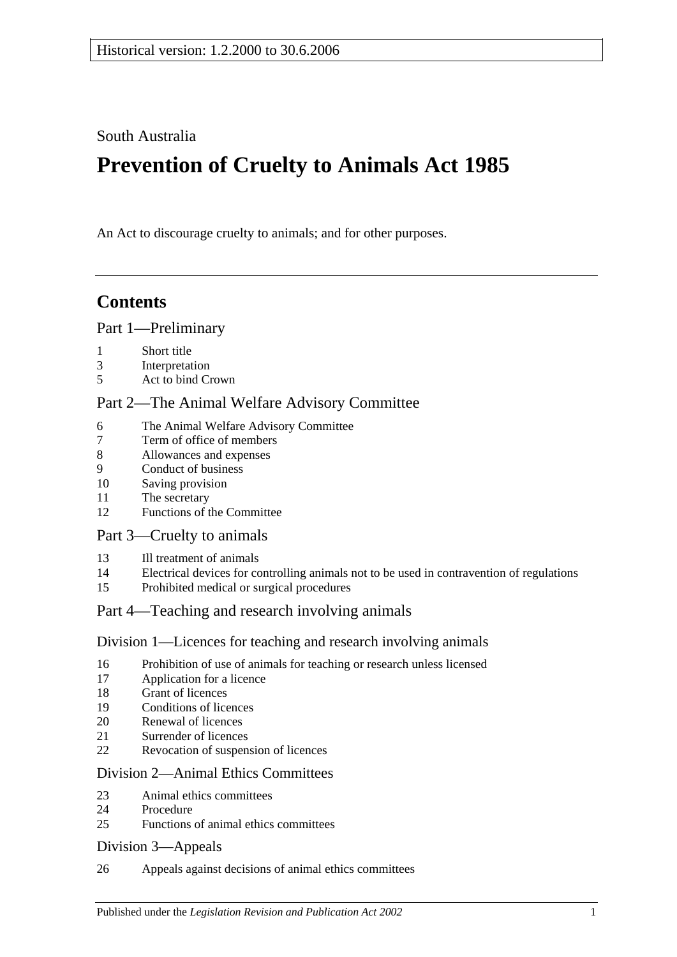South Australia

# **Prevention of Cruelty to Animals Act 1985**

An Act to discourage cruelty to animals; and for other purposes.

# **Contents**

### [Part 1—Preliminary](#page-1-0)

- [Short title](#page-1-1)
- [Interpretation](#page-1-2)
- [Act to bind Crown](#page-2-0)

### [Part 2—The Animal Welfare Advisory Committee](#page-2-1)

- [The Animal Welfare Advisory Committee](#page-2-2)
- [Term of office of members](#page-3-0)<br>8 Allowances and expenses
- [Allowances and expenses](#page-3-1)
- [Conduct of business](#page-3-2)
- [Saving provision](#page-4-0)
- [The secretary](#page-4-1)
- [Functions of the Committee](#page-4-2)

### [Part 3—Cruelty to animals](#page-4-3)

- [Ill treatment of animals](#page-4-4)
- [Electrical devices for controlling animals not to be used in contravention of regulations](#page-5-0)
- [Prohibited medical or surgical procedures](#page-5-1)

### [Part 4—Teaching and research involving animals](#page-5-2)

### [Division 1—Licences for teaching and research involving animals](#page-5-3)

- [Prohibition of use of animals for teaching or research unless licensed](#page-5-4)
- [Application for a licence](#page-6-0)
- [Grant of licences](#page-6-1)
- [Conditions of licences](#page-6-2)
- [Renewal of licences](#page-7-0)
- [Surrender of licences](#page-7-1)
- [Revocation of suspension of licences](#page-7-2)

### [Division 2—Animal Ethics Committees](#page-7-3)

- [Animal ethics committees](#page-7-4)
- [Procedure](#page-8-0)
- [Functions of animal ethics committees](#page-8-1)

### [Division 3—Appeals](#page-9-0)

[Appeals against decisions of animal ethics committees](#page-9-1)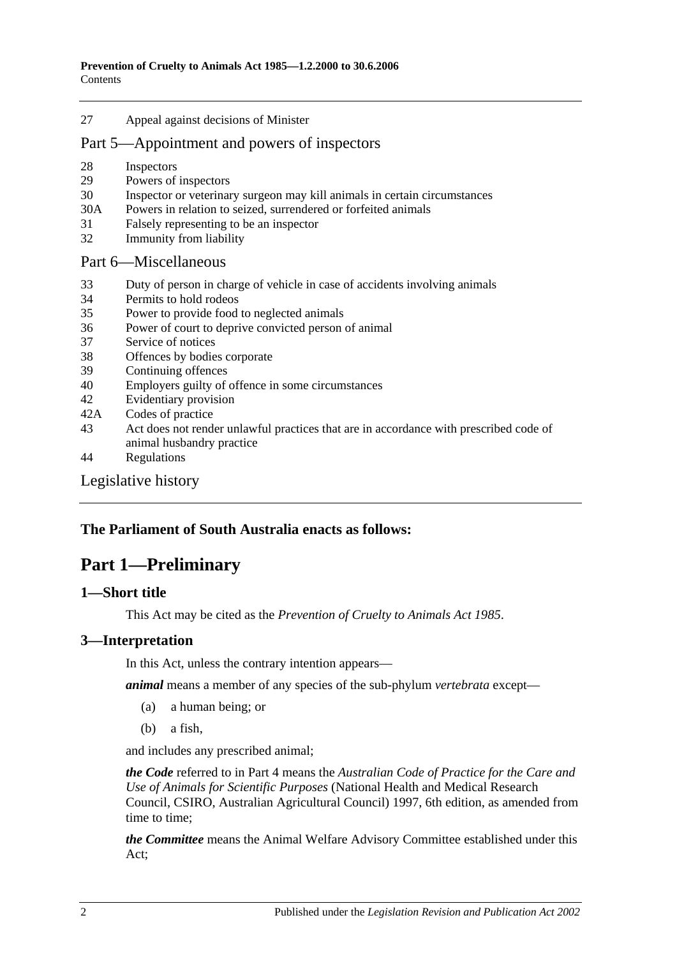27 [Appeal against decisions of Minister](#page-9-2)

### [Part 5—Appointment and powers of inspectors](#page-10-0)

- 28 [Inspectors](#page-10-1)
- 29 [Powers of inspectors](#page-10-2)
- 30 [Inspector or veterinary surgeon may kill animals in certain circumstances](#page-12-0)
- 30A Powers in relation [to seized, surrendered or forfeited animals](#page-12-1)
- 31 [Falsely representing to be an inspector](#page-13-0)
- 32 [Immunity from liability](#page-13-1)

#### [Part 6—Miscellaneous](#page-13-2)

- 33 [Duty of person in charge of vehicle in case of accidents involving animals](#page-13-3)
- 34 [Permits to hold rodeos](#page-13-4)
- 35 [Power to provide food to neglected animals](#page-14-0)
- 36 [Power of court to deprive convicted person of animal](#page-14-1)
- 37 [Service of notices](#page-14-2)
- 38 [Offences by bodies corporate](#page-14-3)
- 39 [Continuing offences](#page-14-4)
- 40 [Employers guilty of offence in some circumstances](#page-15-0)
- 42 [Evidentiary provision](#page-15-1)
- 42A [Codes of practice](#page-15-2)
- 43 [Act does not render unlawful practices that are in accordance with prescribed code of](#page-15-3)  [animal husbandry practice](#page-15-3)
- 44 [Regulations](#page-15-4)

### [Legislative history](#page-17-0)

### <span id="page-1-0"></span>**The Parliament of South Australia enacts as follows:**

# **Part 1—Preliminary**

### <span id="page-1-1"></span>**1—Short title**

This Act may be cited as the *Prevention of Cruelty to Animals Act 1985*.

### <span id="page-1-2"></span>**3—Interpretation**

In this Act, unless the contrary intention appears—

*animal* means a member of any species of the sub-phylum *vertebrata* except—

- (a) a human being; or
- (b) a fish,

and includes any prescribed animal;

*the Code* referred to in [Part 4](#page-5-2) means the *Australian Code of Practice for the Care and Use of Animals for Scientific Purposes* (National Health and Medical Research Council, CSIRO, Australian Agricultural Council) 1997, 6th edition, as amended from time to time;

*the Committee* means the Animal Welfare Advisory Committee established under this Act;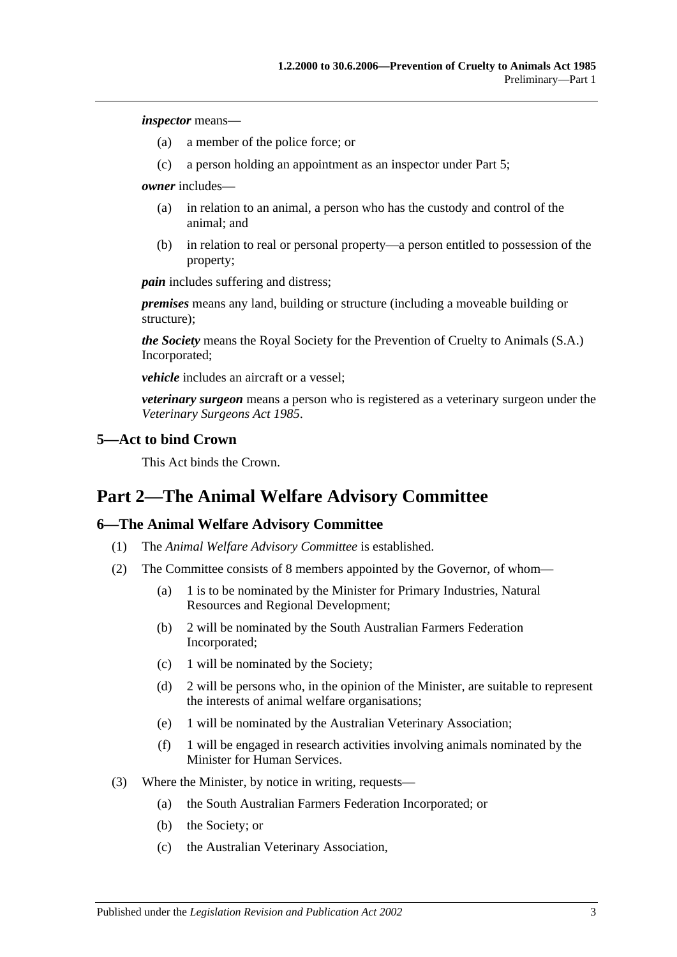*inspector* means—

- (a) a member of the police force; or
- (c) a person holding an appointment as an inspector under [Part 5;](#page-10-0)

*owner* includes—

- (a) in relation to an animal, a person who has the custody and control of the animal; and
- (b) in relation to real or personal property—a person entitled to possession of the property;

*pain* includes suffering and distress;

*premises* means any land, building or structure (including a moveable building or structure);

*the Society* means the Royal Society for the Prevention of Cruelty to Animals (S.A.) Incorporated;

*vehicle* includes an aircraft or a vessel;

*veterinary surgeon* means a person who is registered as a veterinary surgeon under the *[Veterinary Surgeons Act](http://www.legislation.sa.gov.au/index.aspx?action=legref&type=act&legtitle=Veterinary%20Surgeons%20Act%201985) 1985*.

#### <span id="page-2-0"></span>**5—Act to bind Crown**

This Act binds the Crown.

# <span id="page-2-1"></span>**Part 2—The Animal Welfare Advisory Committee**

### <span id="page-2-2"></span>**6—The Animal Welfare Advisory Committee**

- (1) The *Animal Welfare Advisory Committee* is established.
- (2) The Committee consists of 8 members appointed by the Governor, of whom—
	- (a) 1 is to be nominated by the Minister for Primary Industries, Natural Resources and Regional Development;
	- (b) 2 will be nominated by the South Australian Farmers Federation Incorporated;
	- (c) 1 will be nominated by the Society;
	- (d) 2 will be persons who, in the opinion of the Minister, are suitable to represent the interests of animal welfare organisations;
	- (e) 1 will be nominated by the Australian Veterinary Association;
	- (f) 1 will be engaged in research activities involving animals nominated by the Minister for Human Services.
- (3) Where the Minister, by notice in writing, requests—
	- (a) the South Australian Farmers Federation Incorporated; or
	- (b) the Society; or
	- (c) the Australian Veterinary Association,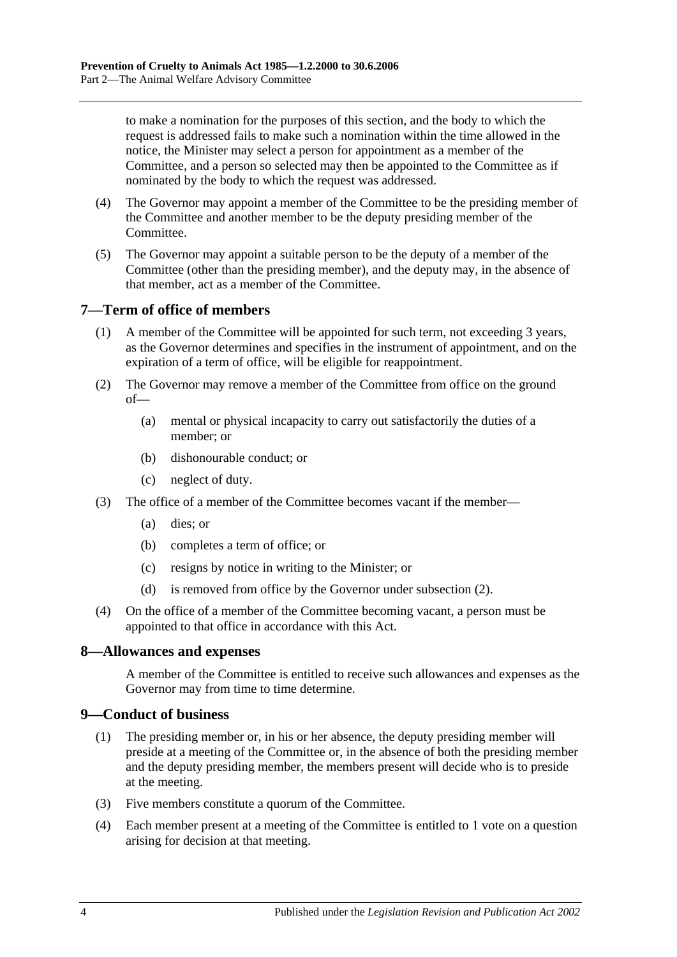to make a nomination for the purposes of this section, and the body to which the request is addressed fails to make such a nomination within the time allowed in the notice, the Minister may select a person for appointment as a member of the Committee, and a person so selected may then be appointed to the Committee as if nominated by the body to which the request was addressed.

- (4) The Governor may appoint a member of the Committee to be the presiding member of the Committee and another member to be the deputy presiding member of the Committee.
- (5) The Governor may appoint a suitable person to be the deputy of a member of the Committee (other than the presiding member), and the deputy may, in the absence of that member, act as a member of the Committee.

### <span id="page-3-0"></span>**7—Term of office of members**

- (1) A member of the Committee will be appointed for such term, not exceeding 3 years, as the Governor determines and specifies in the instrument of appointment, and on the expiration of a term of office, will be eligible for reappointment.
- <span id="page-3-3"></span>(2) The Governor may remove a member of the Committee from office on the ground of—
	- (a) mental or physical incapacity to carry out satisfactorily the duties of a member; or
	- (b) dishonourable conduct; or
	- (c) neglect of duty.
- (3) The office of a member of the Committee becomes vacant if the member—
	- (a) dies; or
	- (b) completes a term of office; or
	- (c) resigns by notice in writing to the Minister; or
	- (d) is removed from office by the Governor under [subsection](#page-3-3) (2).
- (4) On the office of a member of the Committee becoming vacant, a person must be appointed to that office in accordance with this Act.

### <span id="page-3-1"></span>**8—Allowances and expenses**

A member of the Committee is entitled to receive such allowances and expenses as the Governor may from time to time determine.

### <span id="page-3-2"></span>**9—Conduct of business**

- (1) The presiding member or, in his or her absence, the deputy presiding member will preside at a meeting of the Committee or, in the absence of both the presiding member and the deputy presiding member, the members present will decide who is to preside at the meeting.
- (3) Five members constitute a quorum of the Committee.
- (4) Each member present at a meeting of the Committee is entitled to 1 vote on a question arising for decision at that meeting.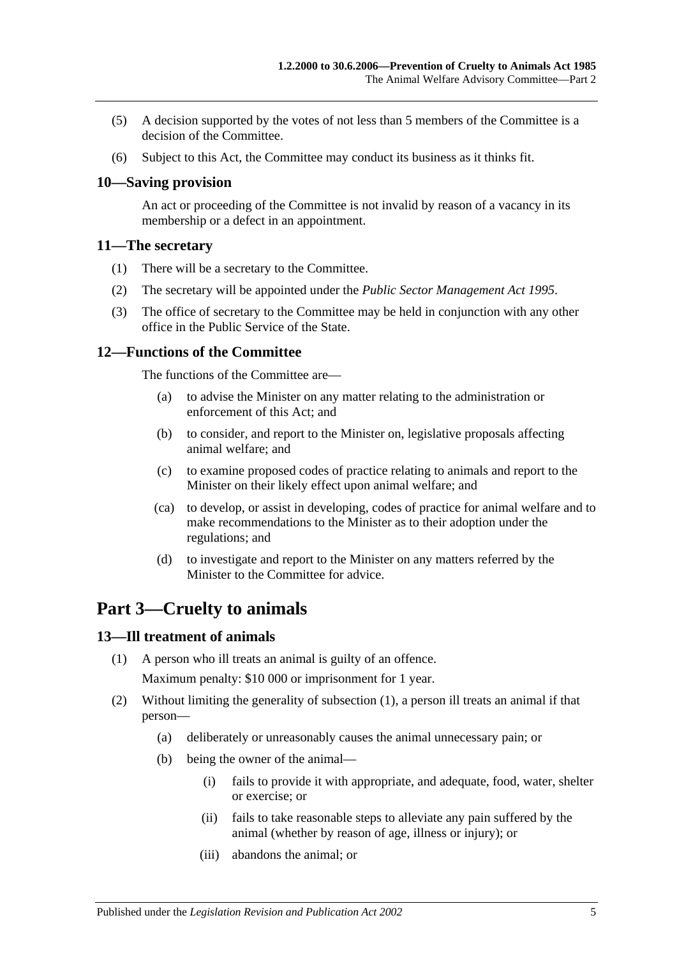- (5) A decision supported by the votes of not less than 5 members of the Committee is a decision of the Committee.
- (6) Subject to this Act, the Committee may conduct its business as it thinks fit.

### <span id="page-4-0"></span>**10—Saving provision**

An act or proceeding of the Committee is not invalid by reason of a vacancy in its membership or a defect in an appointment.

#### <span id="page-4-1"></span>**11—The secretary**

- (1) There will be a secretary to the Committee.
- (2) The secretary will be appointed under the *[Public Sector Management Act](http://www.legislation.sa.gov.au/index.aspx?action=legref&type=act&legtitle=Public%20Sector%20Management%20Act%201995) 1995*.
- (3) The office of secretary to the Committee may be held in conjunction with any other office in the Public Service of the State.

### <span id="page-4-2"></span>**12—Functions of the Committee**

The functions of the Committee are—

- (a) to advise the Minister on any matter relating to the administration or enforcement of this Act; and
- (b) to consider, and report to the Minister on, legislative proposals affecting animal welfare; and
- (c) to examine proposed codes of practice relating to animals and report to the Minister on their likely effect upon animal welfare; and
- (ca) to develop, or assist in developing, codes of practice for animal welfare and to make recommendations to the Minister as to their adoption under the regulations; and
- (d) to investigate and report to the Minister on any matters referred by the Minister to the Committee for advice.

# <span id="page-4-3"></span>**Part 3—Cruelty to animals**

#### <span id="page-4-5"></span><span id="page-4-4"></span>**13—Ill treatment of animals**

- (1) A person who ill treats an animal is guilty of an offence. Maximum penalty: \$10 000 or imprisonment for 1 year.
- (2) Without limiting the generality of [subsection](#page-4-5) (1), a person ill treats an animal if that person—
	- (a) deliberately or unreasonably causes the animal unnecessary pain; or
	- (b) being the owner of the animal—
		- (i) fails to provide it with appropriate, and adequate, food, water, shelter or exercise; or
		- (ii) fails to take reasonable steps to alleviate any pain suffered by the animal (whether by reason of age, illness or injury); or
		- (iii) abandons the animal; or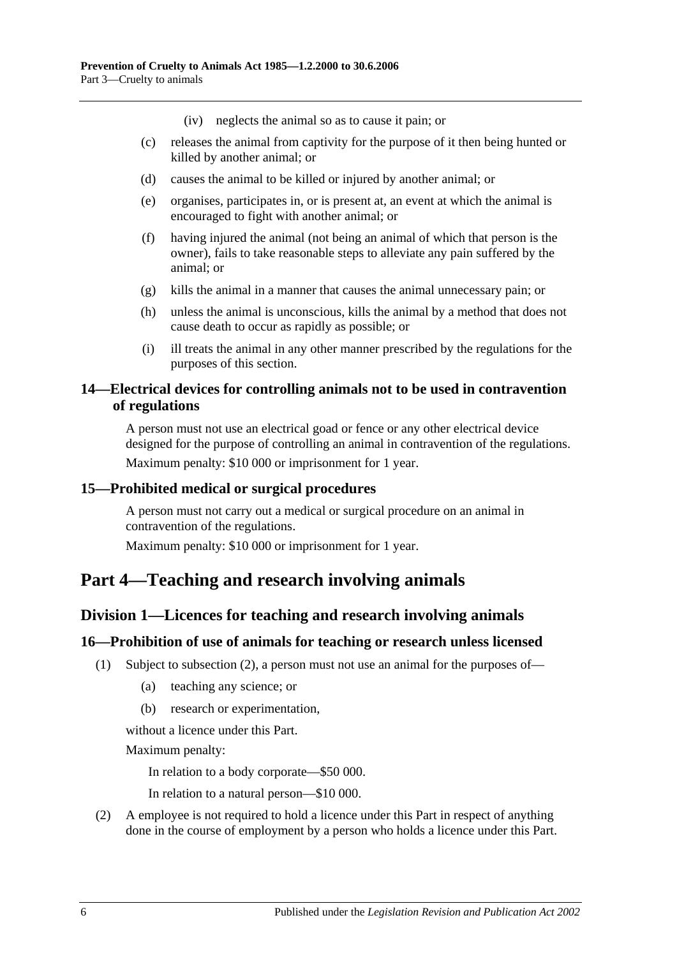(iv) neglects the animal so as to cause it pain; or

- (c) releases the animal from captivity for the purpose of it then being hunted or killed by another animal; or
- (d) causes the animal to be killed or injured by another animal; or
- (e) organises, participates in, or is present at, an event at which the animal is encouraged to fight with another animal; or
- (f) having injured the animal (not being an animal of which that person is the owner), fails to take reasonable steps to alleviate any pain suffered by the animal; or
- (g) kills the animal in a manner that causes the animal unnecessary pain; or
- (h) unless the animal is unconscious, kills the animal by a method that does not cause death to occur as rapidly as possible; or
- (i) ill treats the animal in any other manner prescribed by the regulations for the purposes of this section.

### <span id="page-5-0"></span>**14—Electrical devices for controlling animals not to be used in contravention of regulations**

A person must not use an electrical goad or fence or any other electrical device designed for the purpose of controlling an animal in contravention of the regulations. Maximum penalty: \$10 000 or imprisonment for 1 year.

### <span id="page-5-1"></span>**15—Prohibited medical or surgical procedures**

A person must not carry out a medical or surgical procedure on an animal in contravention of the regulations.

Maximum penalty: \$10 000 or imprisonment for 1 year.

# <span id="page-5-3"></span><span id="page-5-2"></span>**Part 4—Teaching and research involving animals**

### **Division 1—Licences for teaching and research involving animals**

#### <span id="page-5-4"></span>**16—Prohibition of use of animals for teaching or research unless licensed**

- (1) Subject to [subsection](#page-5-5) (2), a person must not use an animal for the purposes of—
	- (a) teaching any science; or
	- (b) research or experimentation,

without a licence under this Part.

Maximum penalty:

In relation to a body corporate—\$50 000.

In relation to a natural person—\$10 000.

<span id="page-5-5"></span>(2) A employee is not required to hold a licence under this Part in respect of anything done in the course of employment by a person who holds a licence under this Part.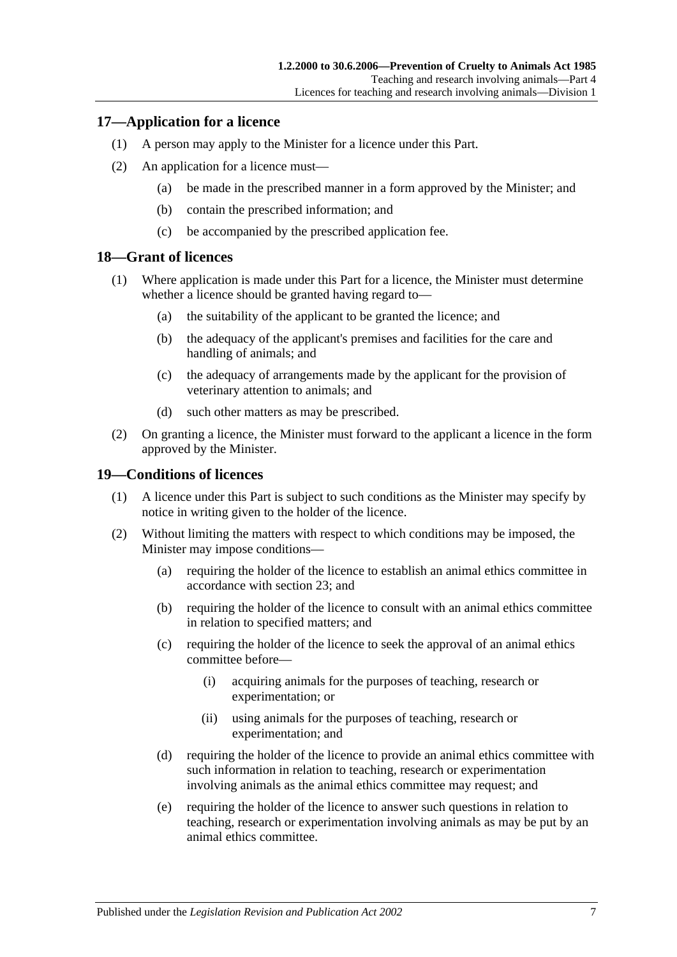### <span id="page-6-0"></span>**17—Application for a licence**

- (1) A person may apply to the Minister for a licence under this Part.
- (2) An application for a licence must—
	- (a) be made in the prescribed manner in a form approved by the Minister; and
	- (b) contain the prescribed information; and
	- (c) be accompanied by the prescribed application fee.

### <span id="page-6-1"></span>**18—Grant of licences**

- (1) Where application is made under this Part for a licence, the Minister must determine whether a licence should be granted having regard to—
	- (a) the suitability of the applicant to be granted the licence; and
	- (b) the adequacy of the applicant's premises and facilities for the care and handling of animals; and
	- (c) the adequacy of arrangements made by the applicant for the provision of veterinary attention to animals; and
	- (d) such other matters as may be prescribed.
- (2) On granting a licence, the Minister must forward to the applicant a licence in the form approved by the Minister.

### <span id="page-6-2"></span>**19—Conditions of licences**

- (1) A licence under this Part is subject to such conditions as the Minister may specify by notice in writing given to the holder of the licence.
- (2) Without limiting the matters with respect to which conditions may be imposed, the Minister may impose conditions—
	- (a) requiring the holder of the licence to establish an animal ethics committee in accordance with [section](#page-7-4) 23; and
	- (b) requiring the holder of the licence to consult with an animal ethics committee in relation to specified matters; and
	- (c) requiring the holder of the licence to seek the approval of an animal ethics committee before—
		- (i) acquiring animals for the purposes of teaching, research or experimentation; or
		- (ii) using animals for the purposes of teaching, research or experimentation; and
	- (d) requiring the holder of the licence to provide an animal ethics committee with such information in relation to teaching, research or experimentation involving animals as the animal ethics committee may request; and
	- (e) requiring the holder of the licence to answer such questions in relation to teaching, research or experimentation involving animals as may be put by an animal ethics committee.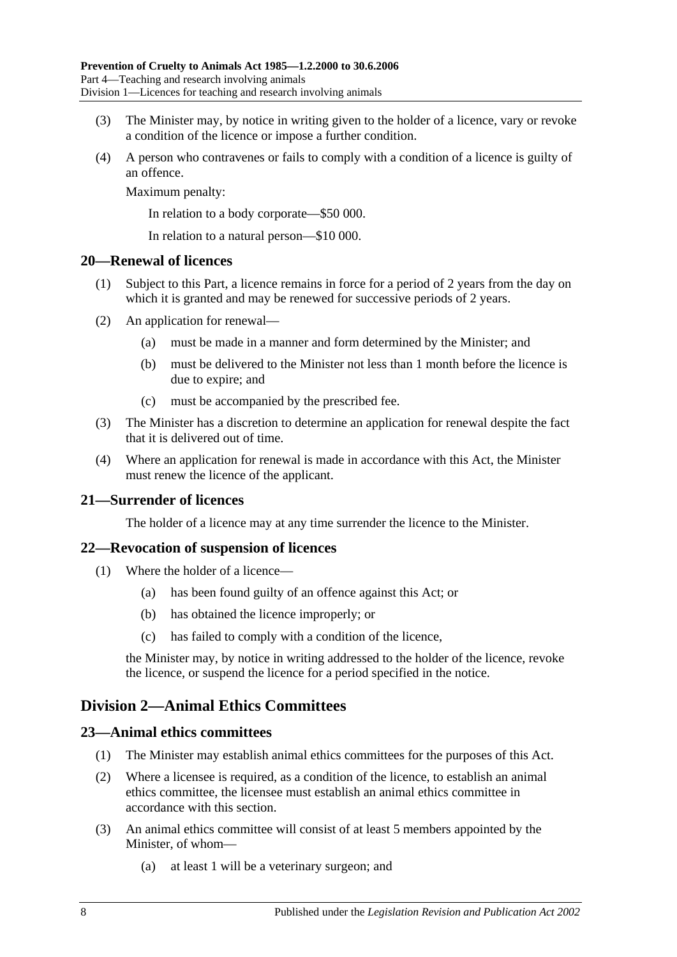- (3) The Minister may, by notice in writing given to the holder of a licence, vary or revoke a condition of the licence or impose a further condition.
- (4) A person who contravenes or fails to comply with a condition of a licence is guilty of an offence.

Maximum penalty:

In relation to a body corporate—\$50 000.

In relation to a natural person—\$10 000.

#### <span id="page-7-0"></span>**20—Renewal of licences**

- (1) Subject to this Part, a licence remains in force for a period of 2 years from the day on which it is granted and may be renewed for successive periods of 2 years.
- (2) An application for renewal—
	- (a) must be made in a manner and form determined by the Minister; and
	- (b) must be delivered to the Minister not less than 1 month before the licence is due to expire; and
	- (c) must be accompanied by the prescribed fee.
- (3) The Minister has a discretion to determine an application for renewal despite the fact that it is delivered out of time.
- (4) Where an application for renewal is made in accordance with this Act, the Minister must renew the licence of the applicant.

### <span id="page-7-1"></span>**21—Surrender of licences**

The holder of a licence may at any time surrender the licence to the Minister.

### <span id="page-7-2"></span>**22—Revocation of suspension of licences**

- (1) Where the holder of a licence—
	- (a) has been found guilty of an offence against this Act; or
	- (b) has obtained the licence improperly; or
	- (c) has failed to comply with a condition of the licence,

the Minister may, by notice in writing addressed to the holder of the licence, revoke the licence, or suspend the licence for a period specified in the notice.

### <span id="page-7-3"></span>**Division 2—Animal Ethics Committees**

#### <span id="page-7-4"></span>**23—Animal ethics committees**

- (1) The Minister may establish animal ethics committees for the purposes of this Act.
- (2) Where a licensee is required, as a condition of the licence, to establish an animal ethics committee, the licensee must establish an animal ethics committee in accordance with this section.
- <span id="page-7-5"></span>(3) An animal ethics committee will consist of at least 5 members appointed by the Minister, of whom—
	- (a) at least 1 will be a veterinary surgeon; and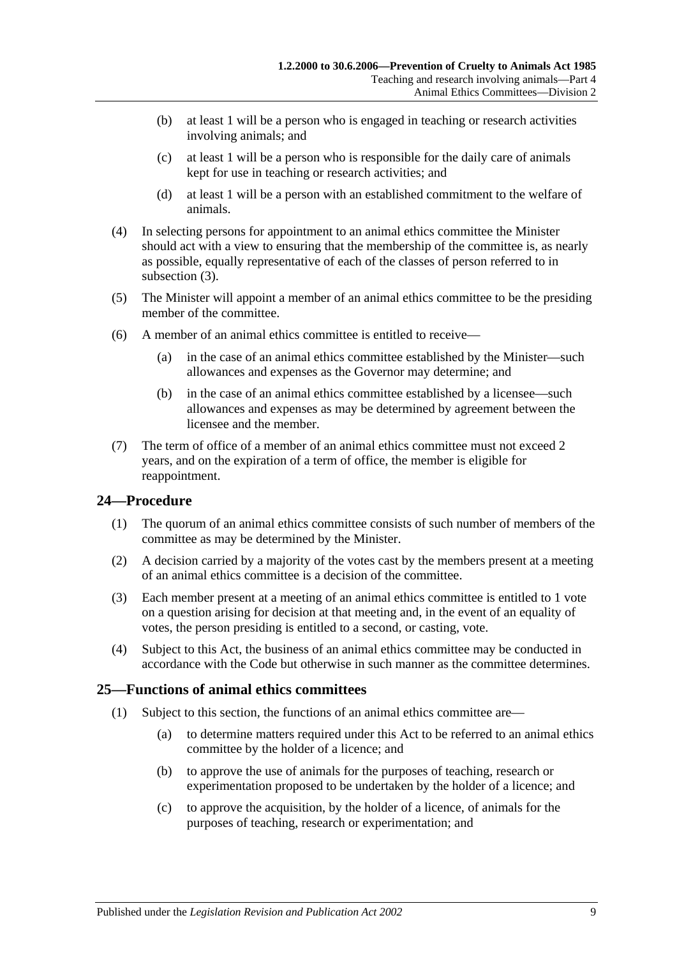- (b) at least 1 will be a person who is engaged in teaching or research activities involving animals; and
- (c) at least 1 will be a person who is responsible for the daily care of animals kept for use in teaching or research activities; and
- (d) at least 1 will be a person with an established commitment to the welfare of animals.
- (4) In selecting persons for appointment to an animal ethics committee the Minister should act with a view to ensuring that the membership of the committee is, as nearly as possible, equally representative of each of the classes of person referred to in [subsection](#page-7-5) (3).
- (5) The Minister will appoint a member of an animal ethics committee to be the presiding member of the committee.
- (6) A member of an animal ethics committee is entitled to receive—
	- (a) in the case of an animal ethics committee established by the Minister—such allowances and expenses as the Governor may determine; and
	- (b) in the case of an animal ethics committee established by a licensee—such allowances and expenses as may be determined by agreement between the licensee and the member.
- (7) The term of office of a member of an animal ethics committee must not exceed 2 years, and on the expiration of a term of office, the member is eligible for reappointment.

### <span id="page-8-0"></span>**24—Procedure**

- (1) The quorum of an animal ethics committee consists of such number of members of the committee as may be determined by the Minister.
- (2) A decision carried by a majority of the votes cast by the members present at a meeting of an animal ethics committee is a decision of the committee.
- (3) Each member present at a meeting of an animal ethics committee is entitled to 1 vote on a question arising for decision at that meeting and, in the event of an equality of votes, the person presiding is entitled to a second, or casting, vote.
- (4) Subject to this Act, the business of an animal ethics committee may be conducted in accordance with the Code but otherwise in such manner as the committee determines.

### <span id="page-8-1"></span>**25—Functions of animal ethics committees**

- (1) Subject to this section, the functions of an animal ethics committee are—
	- (a) to determine matters required under this Act to be referred to an animal ethics committee by the holder of a licence; and
	- (b) to approve the use of animals for the purposes of teaching, research or experimentation proposed to be undertaken by the holder of a licence; and
	- (c) to approve the acquisition, by the holder of a licence, of animals for the purposes of teaching, research or experimentation; and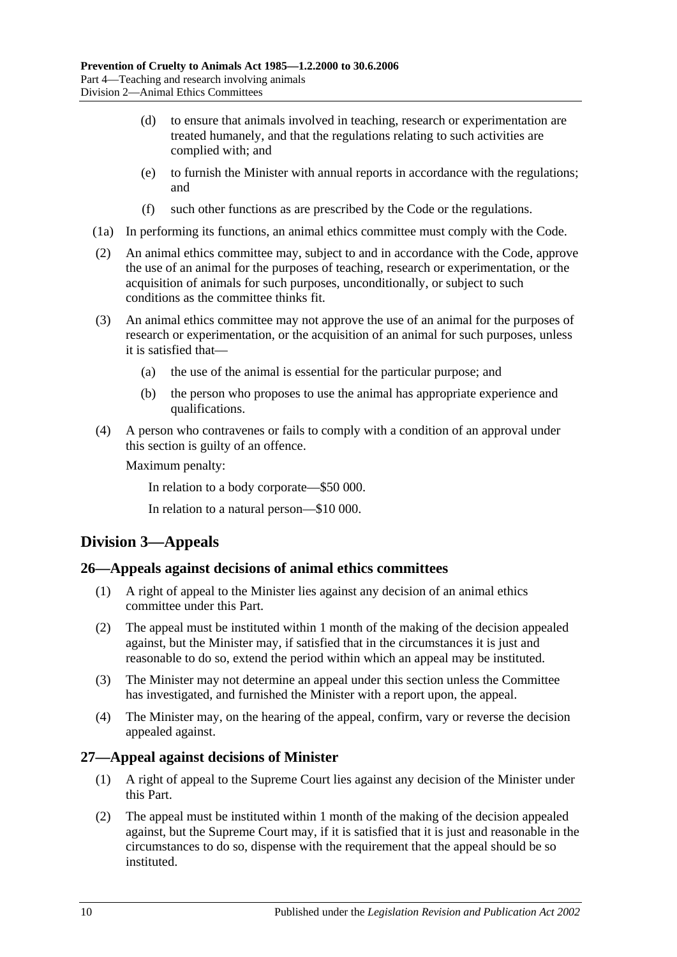- (d) to ensure that animals involved in teaching, research or experimentation are treated humanely, and that the regulations relating to such activities are complied with; and
- (e) to furnish the Minister with annual reports in accordance with the regulations; and
- (f) such other functions as are prescribed by the Code or the regulations.
- (1a) In performing its functions, an animal ethics committee must comply with the Code.
- (2) An animal ethics committee may, subject to and in accordance with the Code, approve the use of an animal for the purposes of teaching, research or experimentation, or the acquisition of animals for such purposes, unconditionally, or subject to such conditions as the committee thinks fit.
- (3) An animal ethics committee may not approve the use of an animal for the purposes of research or experimentation, or the acquisition of an animal for such purposes, unless it is satisfied that—
	- (a) the use of the animal is essential for the particular purpose; and
	- (b) the person who proposes to use the animal has appropriate experience and qualifications.
- (4) A person who contravenes or fails to comply with a condition of an approval under this section is guilty of an offence.

Maximum penalty:

In relation to a body corporate—\$50 000.

In relation to a natural person—\$10 000.

# <span id="page-9-0"></span>**Division 3—Appeals**

### <span id="page-9-1"></span>**26—Appeals against decisions of animal ethics committees**

- (1) A right of appeal to the Minister lies against any decision of an animal ethics committee under this Part.
- (2) The appeal must be instituted within 1 month of the making of the decision appealed against, but the Minister may, if satisfied that in the circumstances it is just and reasonable to do so, extend the period within which an appeal may be instituted.
- (3) The Minister may not determine an appeal under this section unless the Committee has investigated, and furnished the Minister with a report upon, the appeal.
- (4) The Minister may, on the hearing of the appeal, confirm, vary or reverse the decision appealed against.

### <span id="page-9-2"></span>**27—Appeal against decisions of Minister**

- (1) A right of appeal to the Supreme Court lies against any decision of the Minister under this Part.
- (2) The appeal must be instituted within 1 month of the making of the decision appealed against, but the Supreme Court may, if it is satisfied that it is just and reasonable in the circumstances to do so, dispense with the requirement that the appeal should be so instituted.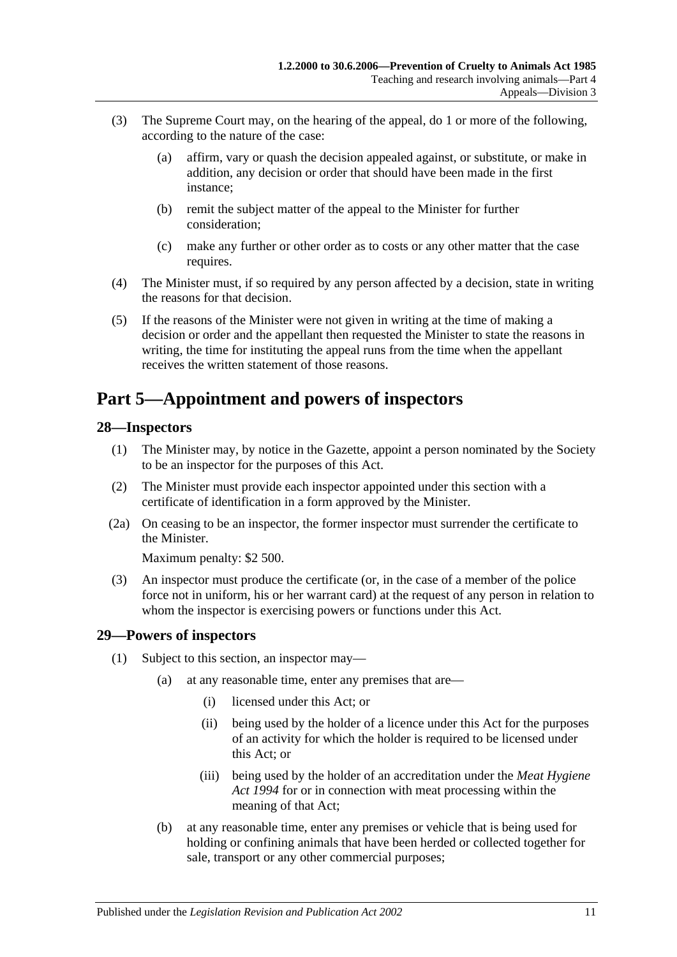- (3) The Supreme Court may, on the hearing of the appeal, do 1 or more of the following, according to the nature of the case:
	- (a) affirm, vary or quash the decision appealed against, or substitute, or make in addition, any decision or order that should have been made in the first instance;
	- (b) remit the subject matter of the appeal to the Minister for further consideration;
	- (c) make any further or other order as to costs or any other matter that the case requires.
- (4) The Minister must, if so required by any person affected by a decision, state in writing the reasons for that decision.
- (5) If the reasons of the Minister were not given in writing at the time of making a decision or order and the appellant then requested the Minister to state the reasons in writing, the time for instituting the appeal runs from the time when the appellant receives the written statement of those reasons.

# <span id="page-10-0"></span>**Part 5—Appointment and powers of inspectors**

### <span id="page-10-1"></span>**28—Inspectors**

- (1) The Minister may, by notice in the Gazette, appoint a person nominated by the Society to be an inspector for the purposes of this Act.
- (2) The Minister must provide each inspector appointed under this section with a certificate of identification in a form approved by the Minister.
- (2a) On ceasing to be an inspector, the former inspector must surrender the certificate to the Minister.

Maximum penalty: \$2 500.

(3) An inspector must produce the certificate (or, in the case of a member of the police force not in uniform, his or her warrant card) at the request of any person in relation to whom the inspector is exercising powers or functions under this Act.

### <span id="page-10-2"></span>**29—Powers of inspectors**

- <span id="page-10-4"></span><span id="page-10-3"></span>(1) Subject to this section, an inspector may—
	- (a) at any reasonable time, enter any premises that are—
		- (i) licensed under this Act; or
		- (ii) being used by the holder of a licence under this Act for the purposes of an activity for which the holder is required to be licensed under this Act; or
		- (iii) being used by the holder of an accreditation under the *[Meat Hygiene](http://www.legislation.sa.gov.au/index.aspx?action=legref&type=act&legtitle=Meat%20Hygiene%20Act%201994)  Act [1994](http://www.legislation.sa.gov.au/index.aspx?action=legref&type=act&legtitle=Meat%20Hygiene%20Act%201994)* for or in connection with meat processing within the meaning of that Act;
	- (b) at any reasonable time, enter any premises or vehicle that is being used for holding or confining animals that have been herded or collected together for sale, transport or any other commercial purposes;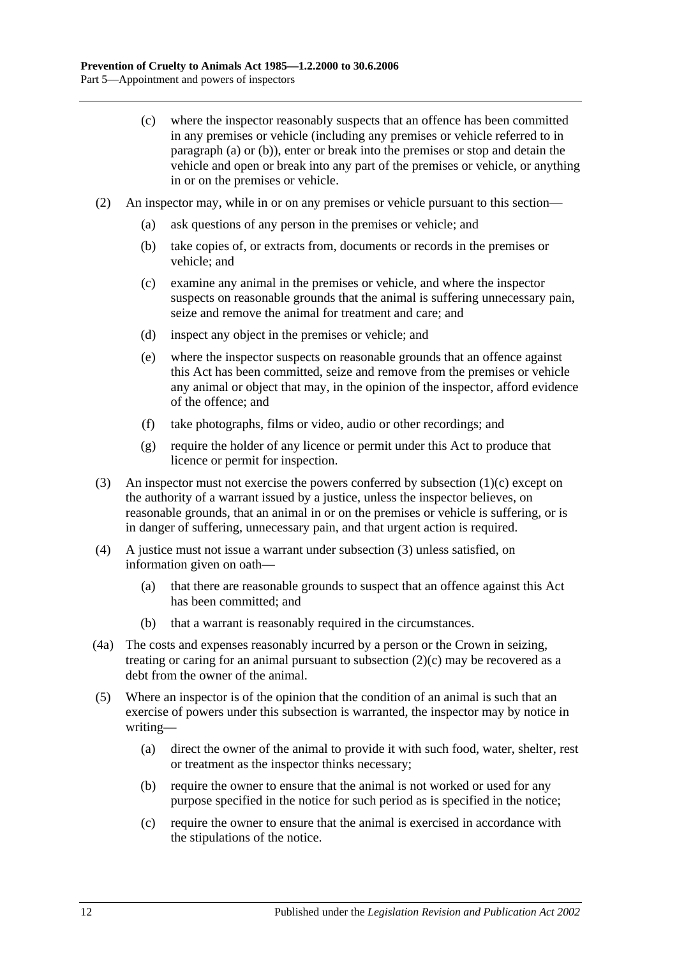- <span id="page-11-0"></span>(c) where the inspector reasonably suspects that an offence has been committed in any premises or vehicle (including any premises or vehicle referred to in [paragraph](#page-10-3) (a) or [\(b\)\)](#page-10-4), enter or break into the premises or stop and detain the vehicle and open or break into any part of the premises or vehicle, or anything in or on the premises or vehicle.
- <span id="page-11-2"></span>(2) An inspector may, while in or on any premises or vehicle pursuant to this section—
	- (a) ask questions of any person in the premises or vehicle; and
	- (b) take copies of, or extracts from, documents or records in the premises or vehicle; and
	- (c) examine any animal in the premises or vehicle, and where the inspector suspects on reasonable grounds that the animal is suffering unnecessary pain, seize and remove the animal for treatment and care; and
	- (d) inspect any object in the premises or vehicle; and
	- (e) where the inspector suspects on reasonable grounds that an offence against this Act has been committed, seize and remove from the premises or vehicle any animal or object that may, in the opinion of the inspector, afford evidence of the offence; and
	- (f) take photographs, films or video, audio or other recordings; and
	- (g) require the holder of any licence or permit under this Act to produce that licence or permit for inspection.
- <span id="page-11-1"></span>(3) An inspector must not exercise the powers conferred by [subsection](#page-11-0) (1)(c) except on the authority of a warrant issued by a justice, unless the inspector believes, on reasonable grounds, that an animal in or on the premises or vehicle is suffering, or is in danger of suffering, unnecessary pain, and that urgent action is required.
- (4) A justice must not issue a warrant under [subsection](#page-11-1) (3) unless satisfied, on information given on oath—
	- (a) that there are reasonable grounds to suspect that an offence against this Act has been committed; and
	- (b) that a warrant is reasonably required in the circumstances.
- (4a) The costs and expenses reasonably incurred by a person or the Crown in seizing, treating or caring for an animal pursuant to [subsection](#page-11-2)  $(2)(c)$  may be recovered as a debt from the owner of the animal.
- (5) Where an inspector is of the opinion that the condition of an animal is such that an exercise of powers under this subsection is warranted, the inspector may by notice in writing—
	- (a) direct the owner of the animal to provide it with such food, water, shelter, rest or treatment as the inspector thinks necessary;
	- (b) require the owner to ensure that the animal is not worked or used for any purpose specified in the notice for such period as is specified in the notice;
	- (c) require the owner to ensure that the animal is exercised in accordance with the stipulations of the notice.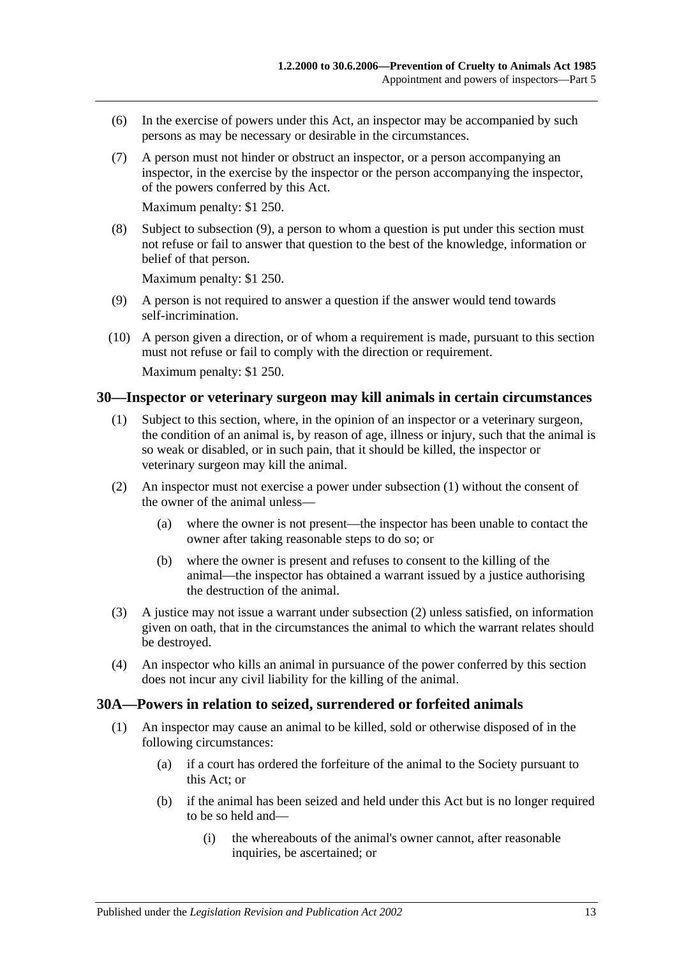- (6) In the exercise of powers under this Act, an inspector may be accompanied by such persons as may be necessary or desirable in the circumstances.
- (7) A person must not hinder or obstruct an inspector, or a person accompanying an inspector, in the exercise by the inspector or the person accompanying the inspector, of the powers conferred by this Act.

Maximum penalty: \$1 250.

(8) Subject to [subsection](#page-12-2) (9), a person to whom a question is put under this section must not refuse or fail to answer that question to the best of the knowledge, information or belief of that person.

Maximum penalty: \$1 250.

- <span id="page-12-2"></span>(9) A person is not required to answer a question if the answer would tend towards self-incrimination.
- (10) A person given a direction, or of whom a requirement is made, pursuant to this section must not refuse or fail to comply with the direction or requirement. Maximum penalty: \$1 250.

### <span id="page-12-3"></span><span id="page-12-0"></span>**30—Inspector or veterinary surgeon may kill animals in certain circumstances**

- (1) Subject to this section, where, in the opinion of an inspector or a veterinary surgeon, the condition of an animal is, by reason of age, illness or injury, such that the animal is so weak or disabled, or in such pain, that it should be killed, the inspector or veterinary surgeon may kill the animal.
- <span id="page-12-4"></span>(2) An inspector must not exercise a power under [subsection](#page-12-3) (1) without the consent of the owner of the animal unless—
	- (a) where the owner is not present—the inspector has been unable to contact the owner after taking reasonable steps to do so; or
	- (b) where the owner is present and refuses to consent to the killing of the animal—the inspector has obtained a warrant issued by a justice authorising the destruction of the animal.
- (3) A justice may not issue a warrant under [subsection](#page-12-4) (2) unless satisfied, on information given on oath, that in the circumstances the animal to which the warrant relates should be destroyed.
- (4) An inspector who kills an animal in pursuance of the power conferred by this section does not incur any civil liability for the killing of the animal.

#### <span id="page-12-5"></span><span id="page-12-1"></span>**30A—Powers in relation to seized, surrendered or forfeited animals**

- (1) An inspector may cause an animal to be killed, sold or otherwise disposed of in the following circumstances:
	- (a) if a court has ordered the forfeiture of the animal to the Society pursuant to this Act; or
	- (b) if the animal has been seized and held under this Act but is no longer required to be so held and—
		- (i) the whereabouts of the animal's owner cannot, after reasonable inquiries, be ascertained; or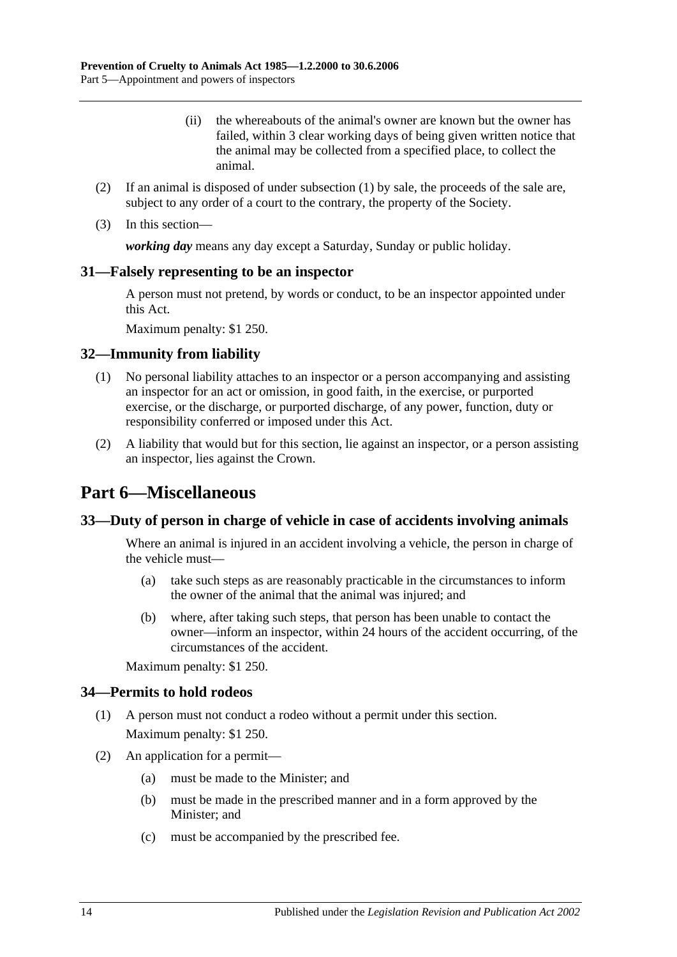- (ii) the whereabouts of the animal's owner are known but the owner has failed, within 3 clear working days of being given written notice that the animal may be collected from a specified place, to collect the animal.
- (2) If an animal is disposed of under [subsection](#page-12-5) (1) by sale, the proceeds of the sale are, subject to any order of a court to the contrary, the property of the Society.
- (3) In this section—

*working day* means any day except a Saturday, Sunday or public holiday.

#### <span id="page-13-0"></span>**31—Falsely representing to be an inspector**

A person must not pretend, by words or conduct, to be an inspector appointed under this Act.

Maximum penalty: \$1 250.

#### <span id="page-13-1"></span>**32—Immunity from liability**

- (1) No personal liability attaches to an inspector or a person accompanying and assisting an inspector for an act or omission, in good faith, in the exercise, or purported exercise, or the discharge, or purported discharge, of any power, function, duty or responsibility conferred or imposed under this Act.
- (2) A liability that would but for this section, lie against an inspector, or a person assisting an inspector, lies against the Crown.

# <span id="page-13-2"></span>**Part 6—Miscellaneous**

#### <span id="page-13-3"></span>**33—Duty of person in charge of vehicle in case of accidents involving animals**

Where an animal is injured in an accident involving a vehicle, the person in charge of the vehicle must—

- (a) take such steps as are reasonably practicable in the circumstances to inform the owner of the animal that the animal was injured; and
- (b) where, after taking such steps, that person has been unable to contact the owner—inform an inspector, within 24 hours of the accident occurring, of the circumstances of the accident.

Maximum penalty: \$1 250.

#### <span id="page-13-4"></span>**34—Permits to hold rodeos**

- (1) A person must not conduct a rodeo without a permit under this section. Maximum penalty: \$1 250.
- (2) An application for a permit—
	- (a) must be made to the Minister; and
	- (b) must be made in the prescribed manner and in a form approved by the Minister; and
	- (c) must be accompanied by the prescribed fee.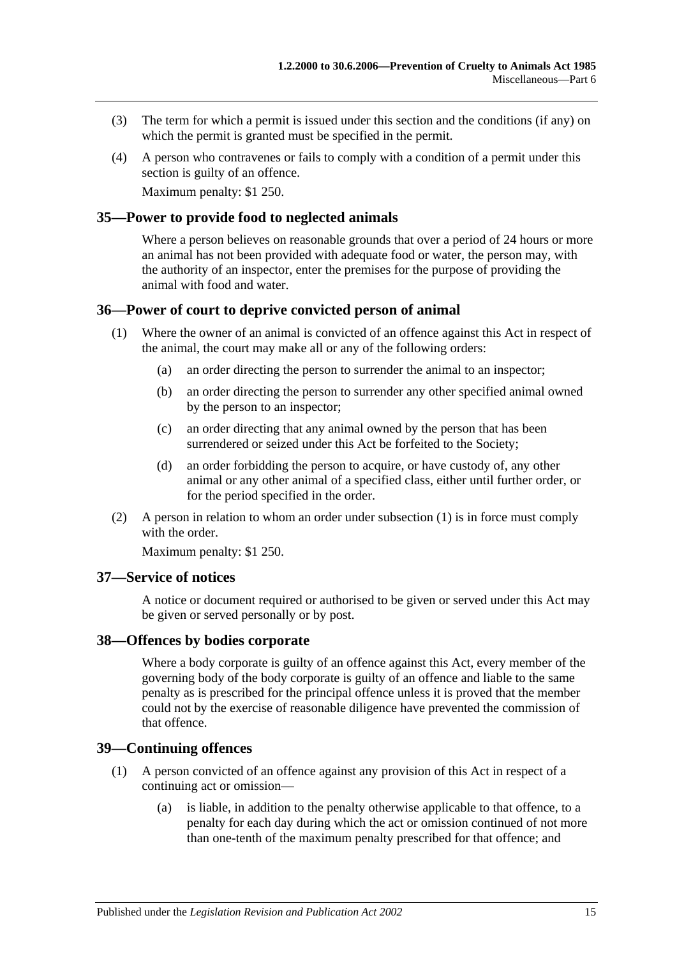- (3) The term for which a permit is issued under this section and the conditions (if any) on which the permit is granted must be specified in the permit.
- (4) A person who contravenes or fails to comply with a condition of a permit under this section is guilty of an offence.

Maximum penalty: \$1 250.

#### <span id="page-14-0"></span>**35—Power to provide food to neglected animals**

Where a person believes on reasonable grounds that over a period of 24 hours or more an animal has not been provided with adequate food or water, the person may, with the authority of an inspector, enter the premises for the purpose of providing the animal with food and water.

### <span id="page-14-5"></span><span id="page-14-1"></span>**36—Power of court to deprive convicted person of animal**

- (1) Where the owner of an animal is convicted of an offence against this Act in respect of the animal, the court may make all or any of the following orders:
	- (a) an order directing the person to surrender the animal to an inspector;
	- (b) an order directing the person to surrender any other specified animal owned by the person to an inspector;
	- (c) an order directing that any animal owned by the person that has been surrendered or seized under this Act be forfeited to the Society;
	- (d) an order forbidding the person to acquire, or have custody of, any other animal or any other animal of a specified class, either until further order, or for the period specified in the order.
- (2) A person in relation to whom an order under [subsection](#page-14-5) (1) is in force must comply with the order

Maximum penalty: \$1 250.

#### <span id="page-14-2"></span>**37—Service of notices**

A notice or document required or authorised to be given or served under this Act may be given or served personally or by post.

#### <span id="page-14-3"></span>**38—Offences by bodies corporate**

Where a body corporate is guilty of an offence against this Act, every member of the governing body of the body corporate is guilty of an offence and liable to the same penalty as is prescribed for the principal offence unless it is proved that the member could not by the exercise of reasonable diligence have prevented the commission of that offence.

### <span id="page-14-6"></span><span id="page-14-4"></span>**39—Continuing offences**

- (1) A person convicted of an offence against any provision of this Act in respect of a continuing act or omission—
	- (a) is liable, in addition to the penalty otherwise applicable to that offence, to a penalty for each day during which the act or omission continued of not more than one-tenth of the maximum penalty prescribed for that offence; and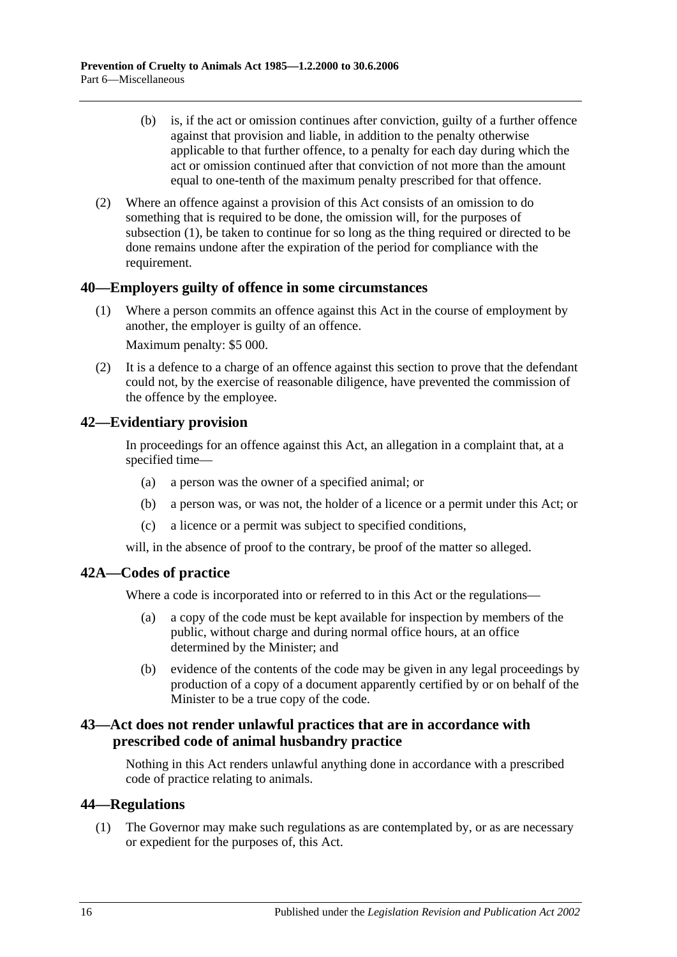- (b) is, if the act or omission continues after conviction, guilty of a further offence against that provision and liable, in addition to the penalty otherwise applicable to that further offence, to a penalty for each day during which the act or omission continued after that conviction of not more than the amount equal to one-tenth of the maximum penalty prescribed for that offence.
- (2) Where an offence against a provision of this Act consists of an omission to do something that is required to be done, the omission will, for the purposes of [subsection](#page-14-6) (1), be taken to continue for so long as the thing required or directed to be done remains undone after the expiration of the period for compliance with the requirement.

### <span id="page-15-0"></span>**40—Employers guilty of offence in some circumstances**

(1) Where a person commits an offence against this Act in the course of employment by another, the employer is guilty of an offence.

Maximum penalty: \$5 000.

(2) It is a defence to a charge of an offence against this section to prove that the defendant could not, by the exercise of reasonable diligence, have prevented the commission of the offence by the employee.

### <span id="page-15-1"></span>**42—Evidentiary provision**

In proceedings for an offence against this Act, an allegation in a complaint that, at a specified time—

- (a) a person was the owner of a specified animal; or
- (b) a person was, or was not, the holder of a licence or a permit under this Act; or
- (c) a licence or a permit was subject to specified conditions,

will, in the absence of proof to the contrary, be proof of the matter so alleged.

### <span id="page-15-2"></span>**42A—Codes of practice**

Where a code is incorporated into or referred to in this Act or the regulations—

- (a) a copy of the code must be kept available for inspection by members of the public, without charge and during normal office hours, at an office determined by the Minister; and
- (b) evidence of the contents of the code may be given in any legal proceedings by production of a copy of a document apparently certified by or on behalf of the Minister to be a true copy of the code.

### <span id="page-15-3"></span>**43—Act does not render unlawful practices that are in accordance with prescribed code of animal husbandry practice**

Nothing in this Act renders unlawful anything done in accordance with a prescribed code of practice relating to animals.

### <span id="page-15-5"></span><span id="page-15-4"></span>**44—Regulations**

(1) The Governor may make such regulations as are contemplated by, or as are necessary or expedient for the purposes of, this Act.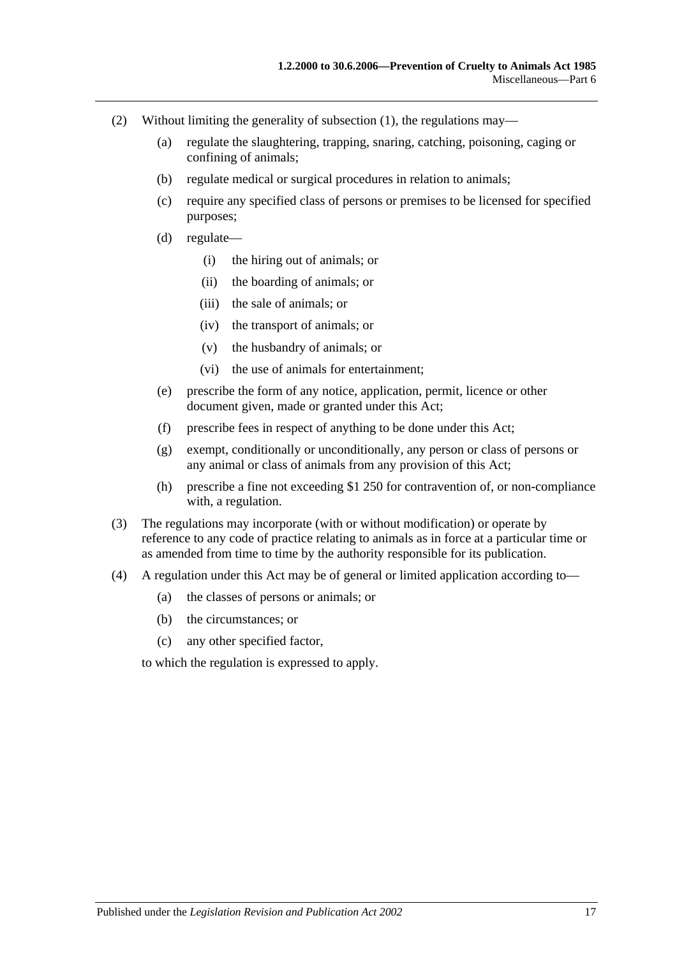- (2) Without limiting the generality of [subsection](#page-15-5) (1), the regulations may—
	- (a) regulate the slaughtering, trapping, snaring, catching, poisoning, caging or confining of animals;
	- (b) regulate medical or surgical procedures in relation to animals;
	- (c) require any specified class of persons or premises to be licensed for specified purposes;
	- (d) regulate—
		- (i) the hiring out of animals; or
		- (ii) the boarding of animals; or
		- (iii) the sale of animals; or
		- (iv) the transport of animals; or
		- (v) the husbandry of animals; or
		- (vi) the use of animals for entertainment;
	- (e) prescribe the form of any notice, application, permit, licence or other document given, made or granted under this Act;
	- (f) prescribe fees in respect of anything to be done under this Act;
	- (g) exempt, conditionally or unconditionally, any person or class of persons or any animal or class of animals from any provision of this Act;
	- (h) prescribe a fine not exceeding \$1 250 for contravention of, or non-compliance with, a regulation.
- (3) The regulations may incorporate (with or without modification) or operate by reference to any code of practice relating to animals as in force at a particular time or as amended from time to time by the authority responsible for its publication.
- (4) A regulation under this Act may be of general or limited application according to—
	- (a) the classes of persons or animals; or
	- (b) the circumstances; or
	- (c) any other specified factor,

to which the regulation is expressed to apply.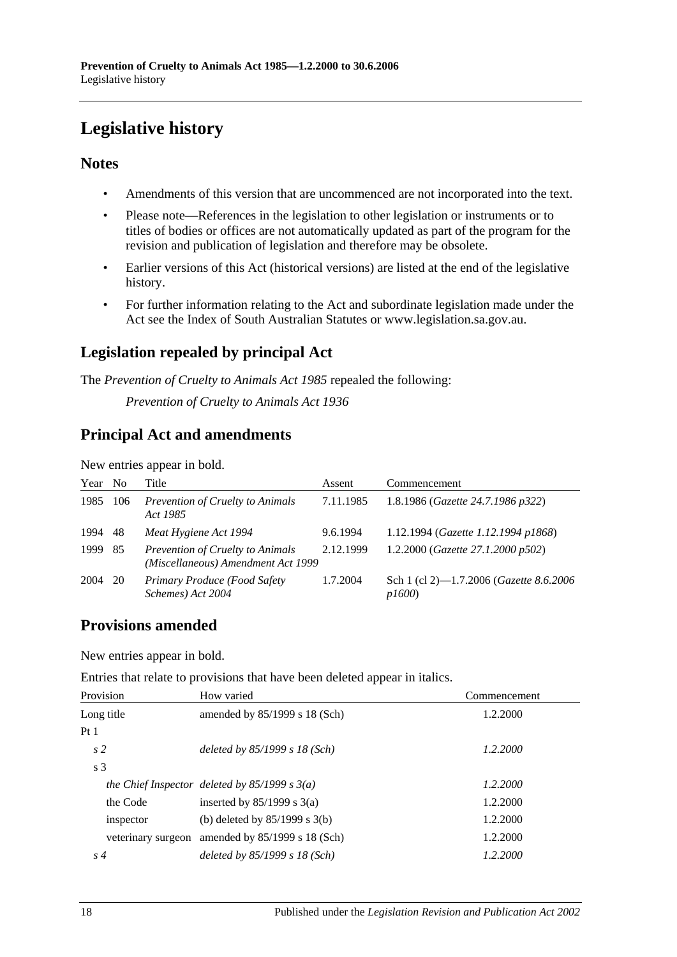# <span id="page-17-0"></span>**Legislative history**

### **Notes**

- Amendments of this version that are uncommenced are not incorporated into the text.
- Please note—References in the legislation to other legislation or instruments or to titles of bodies or offices are not automatically updated as part of the program for the revision and publication of legislation and therefore may be obsolete.
- Earlier versions of this Act (historical versions) are listed at the end of the legislative history.
- For further information relating to the Act and subordinate legislation made under the Act see the Index of South Australian Statutes or www.legislation.sa.gov.au.

# **Legislation repealed by principal Act**

The *Prevention of Cruelty to Animals Act 1985* repealed the following:

*Prevention of Cruelty to Animals Act 1936*

### **Principal Act and amendments**

New entries appear in bold.

| Year | N <sub>0</sub> | Title                                                                  | Assent    | Commencement                                      |
|------|----------------|------------------------------------------------------------------------|-----------|---------------------------------------------------|
| 1985 | 106            | Prevention of Cruelty to Animals<br>Act 1985                           | 7.11.1985 | 1.8.1986 (Gazette 24.7.1986 p322)                 |
| 1994 | 48             | Meat Hygiene Act 1994                                                  | 9.6.1994  | 1.12.1994 (Gazette 1.12.1994 p1868)               |
| 1999 | -85            | Prevention of Cruelty to Animals<br>(Miscellaneous) Amendment Act 1999 | 2.12.1999 | 1.2.2000 (Gazette 27.1.2000 p502)                 |
| 2004 | 20             | Primary Produce (Food Safety<br>Schemes) Act 2004                      | 1.7.2004  | Sch 1 (cl 2)-1.7.2006 (Gazette 8.6.2006)<br>p1600 |

### **Provisions amended**

New entries appear in bold.

Entries that relate to provisions that have been deleted appear in italics.

| Provision          | How varied                                      | Commencement |
|--------------------|-------------------------------------------------|--------------|
| Long title         | amended by 85/1999 s 18 (Sch)                   | 1.2.2000     |
| Pt1                |                                                 |              |
| s <sub>2</sub>     | deleted by $85/1999 s 18 (Sch)$                 | 1.2.2000     |
| s <sub>3</sub>     |                                                 |              |
|                    | the Chief Inspector deleted by $85/1999 s 3(a)$ | 1.2.2000     |
| the Code           | inserted by $85/1999$ s 3(a)                    | 1.2.2000     |
| inspector          | (b) deleted by $85/1999$ s 3(b)                 | 1.2.2000     |
| veterinary surgeon | amended by 85/1999 s 18 (Sch)                   | 1.2.2000     |
| $s\,4$             | deleted by $85/1999 s 18 (Sch)$                 | 1.2.2000     |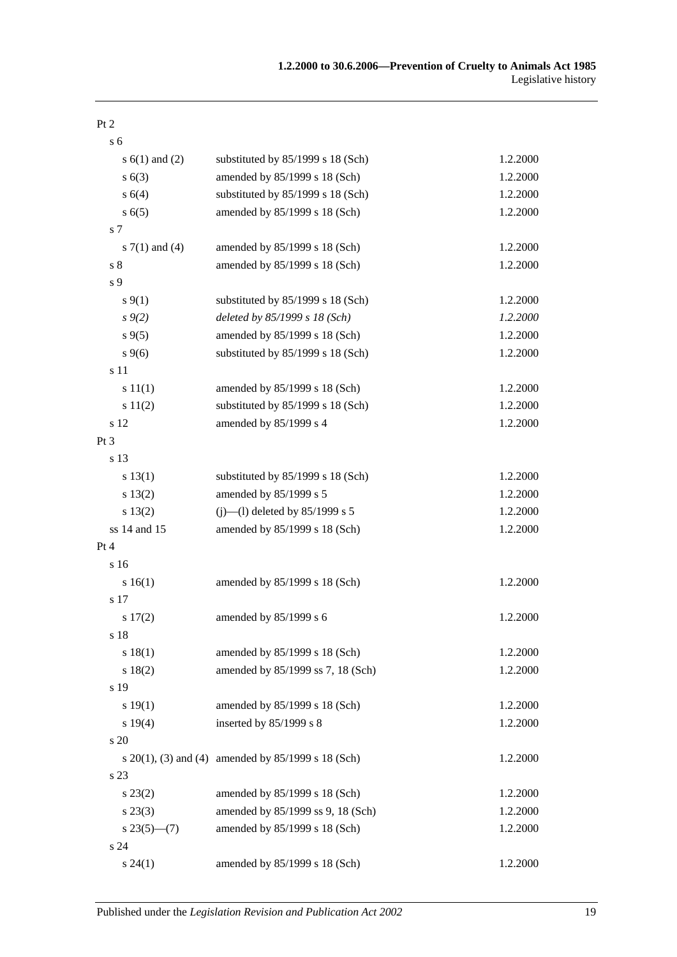| с. | 6 |  |
|----|---|--|

| s $6(1)$ and $(2)$ | substituted by 85/1999 s 18 (Sch)                       | 1.2.2000 |
|--------------------|---------------------------------------------------------|----------|
| s(6(3))            | amended by 85/1999 s 18 (Sch)                           | 1.2.2000 |
| s 6(4)             | substituted by 85/1999 s 18 (Sch)                       | 1.2.2000 |
| s(6(5)             | amended by 85/1999 s 18 (Sch)                           | 1.2.2000 |
| s 7                |                                                         |          |
| s $7(1)$ and $(4)$ | amended by 85/1999 s 18 (Sch)                           | 1.2.2000 |
| $\sqrt{s}$ 8       | amended by 85/1999 s 18 (Sch)                           | 1.2.2000 |
| s 9                |                                                         |          |
| $s \, 9(1)$        | substituted by 85/1999 s 18 (Sch)                       | 1.2.2000 |
| $s \, 9(2)$        | deleted by 85/1999 s 18 (Sch)                           | 1.2.2000 |
| $s \, 9(5)$        | amended by 85/1999 s 18 (Sch)                           | 1.2.2000 |
| $s \, 9(6)$        | substituted by 85/1999 s 18 (Sch)                       | 1.2.2000 |
| s 11               |                                                         |          |
| s 11(1)            | amended by 85/1999 s 18 (Sch)                           | 1.2.2000 |
| s 11(2)            | substituted by 85/1999 s 18 (Sch)                       | 1.2.2000 |
| s 12               | amended by 85/1999 s 4                                  | 1.2.2000 |
| Pt 3               |                                                         |          |
| s 13               |                                                         |          |
| s 13(1)            | substituted by 85/1999 s 18 (Sch)                       | 1.2.2000 |
| s 13(2)            | amended by 85/1999 s 5                                  | 1.2.2000 |
| s 13(2)            | (j)—(l) deleted by $85/1999$ s 5                        | 1.2.2000 |
| ss 14 and 15       | amended by 85/1999 s 18 (Sch)                           | 1.2.2000 |
| Pt 4               |                                                         |          |
| s 16               |                                                         |          |
| s 16(1)            | amended by 85/1999 s 18 (Sch)                           | 1.2.2000 |
| s 17               |                                                         |          |
| s 17(2)            | amended by 85/1999 s 6                                  | 1.2.2000 |
| s 18               |                                                         |          |
| s 18(1)            | amended by 85/1999 s 18 (Sch)                           | 1.2.2000 |
| s 18(2)            | amended by 85/1999 ss 7, 18 (Sch)                       | 1.2.2000 |
| s 19               |                                                         |          |
| s 19(1)            | amended by 85/1999 s 18 (Sch)                           | 1.2.2000 |
| s 19(4)            | inserted by $85/1999$ s 8                               | 1.2.2000 |
| s 20               |                                                         |          |
|                    | s $20(1)$ , (3) and (4) amended by $85/1999$ s 18 (Sch) | 1.2.2000 |
| s 23               |                                                         |          |
| $s\,23(2)$         | amended by 85/1999 s 18 (Sch)                           | 1.2.2000 |
| $s\,23(3)$         | amended by 85/1999 ss 9, 18 (Sch)                       | 1.2.2000 |
| $s23(5)$ – (7)     | amended by 85/1999 s 18 (Sch)                           | 1.2.2000 |
| s 24               |                                                         |          |
| $s\,24(1)$         | amended by 85/1999 s 18 (Sch)                           | 1.2.2000 |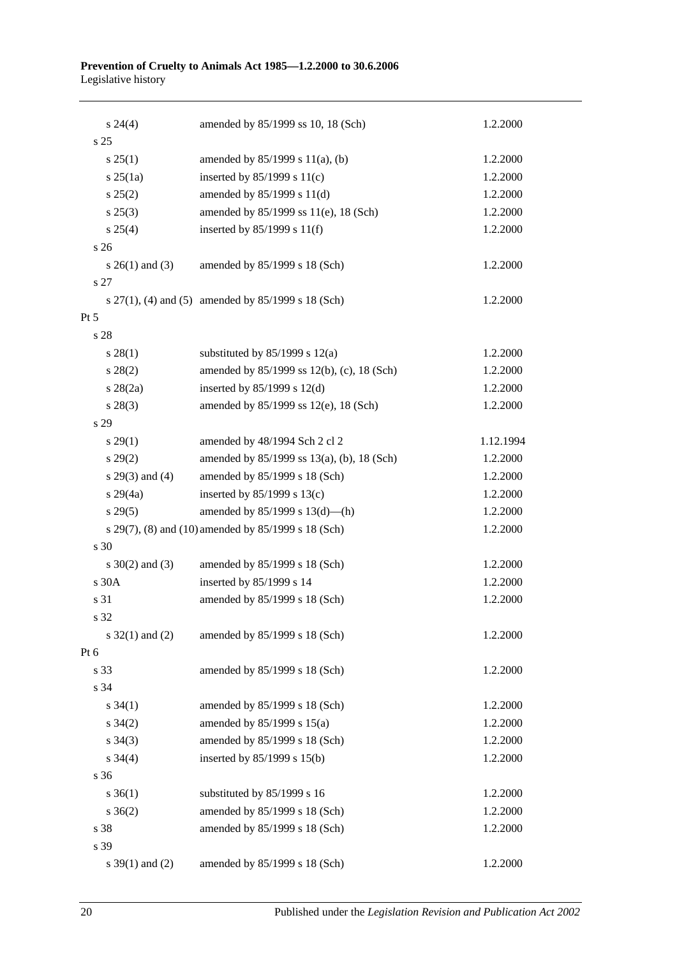| $s\,24(4)$          | amended by 85/1999 ss 10, 18 (Sch)                      | 1.2.2000  |
|---------------------|---------------------------------------------------------|-----------|
| s <sub>25</sub>     |                                                         |           |
| $s \, 25(1)$        | amended by 85/1999 s 11(a), (b)                         | 1.2.2000  |
| $s$ 25(1a)          | inserted by $85/1999$ s $11(c)$                         | 1.2.2000  |
| s 25(2)             | amended by $85/1999$ s $11(d)$                          | 1.2.2000  |
| $s\,25(3)$          | amended by 85/1999 ss 11(e), 18 (Sch)                   | 1.2.2000  |
| s 25(4)             | inserted by $85/1999$ s $11(f)$                         | 1.2.2000  |
| s <sub>26</sub>     |                                                         |           |
| s $26(1)$ and (3)   | amended by 85/1999 s 18 (Sch)                           | 1.2.2000  |
| s 27                |                                                         |           |
|                     | s $27(1)$ , (4) and (5) amended by $85/1999$ s 18 (Sch) | 1.2.2000  |
| $Pt\,5$             |                                                         |           |
| s 28                |                                                         |           |
| $s\,28(1)$          | substituted by $85/1999$ s 12(a)                        | 1.2.2000  |
| $s\,28(2)$          | amended by 85/1999 ss 12(b), (c), 18 (Sch)              | 1.2.2000  |
| $s \; 28(2a)$       | inserted by $85/1999$ s $12(d)$                         | 1.2.2000  |
| $s\,28(3)$          | amended by 85/1999 ss 12(e), 18 (Sch)                   | 1.2.2000  |
| s 29                |                                                         |           |
| $s\,29(1)$          | amended by 48/1994 Sch 2 cl 2                           | 1.12.1994 |
| s 29(2)             | amended by 85/1999 ss 13(a), (b), 18 (Sch)              | 1.2.2000  |
| s $29(3)$ and $(4)$ | amended by 85/1999 s 18 (Sch)                           | 1.2.2000  |
| $s\,29(4a)$         | inserted by $85/1999$ s $13(c)$                         | 1.2.2000  |
| s 29(5)             | amended by $85/1999$ s $13(d)$ —(h)                     | 1.2.2000  |
|                     | s 29(7), (8) and (10) amended by 85/1999 s 18 (Sch)     | 1.2.2000  |
| s 30                |                                                         |           |
| $s \ 30(2)$ and (3) | amended by 85/1999 s 18 (Sch)                           | 1.2.2000  |
| s 30A               | inserted by 85/1999 s 14                                | 1.2.2000  |
| s 31                | amended by 85/1999 s 18 (Sch)                           | 1.2.2000  |
| s 32                |                                                         |           |
| s $32(1)$ and (2)   | amended by 85/1999 s 18 (Sch)                           | 1.2.2000  |
| Pt 6                |                                                         |           |
| s 33                | amended by 85/1999 s 18 (Sch)                           | 1.2.2000  |
| s 34                |                                                         |           |
| $s \; 34(1)$        | amended by 85/1999 s 18 (Sch)                           | 1.2.2000  |
| $s \; 34(2)$        | amended by 85/1999 s 15(a)                              | 1.2.2000  |
| $s \; 34(3)$        | amended by 85/1999 s 18 (Sch)                           | 1.2.2000  |
| $s \; 34(4)$        | inserted by 85/1999 s 15(b)                             | 1.2.2000  |
| s 36                |                                                         |           |
| $s \; 36(1)$        | substituted by 85/1999 s 16                             | 1.2.2000  |
| $s \; 36(2)$        | amended by 85/1999 s 18 (Sch)                           | 1.2.2000  |
| s 38                | amended by 85/1999 s 18 (Sch)                           | 1.2.2000  |
| s 39                |                                                         |           |
| s $39(1)$ and (2)   | amended by 85/1999 s 18 (Sch)                           | 1.2.2000  |